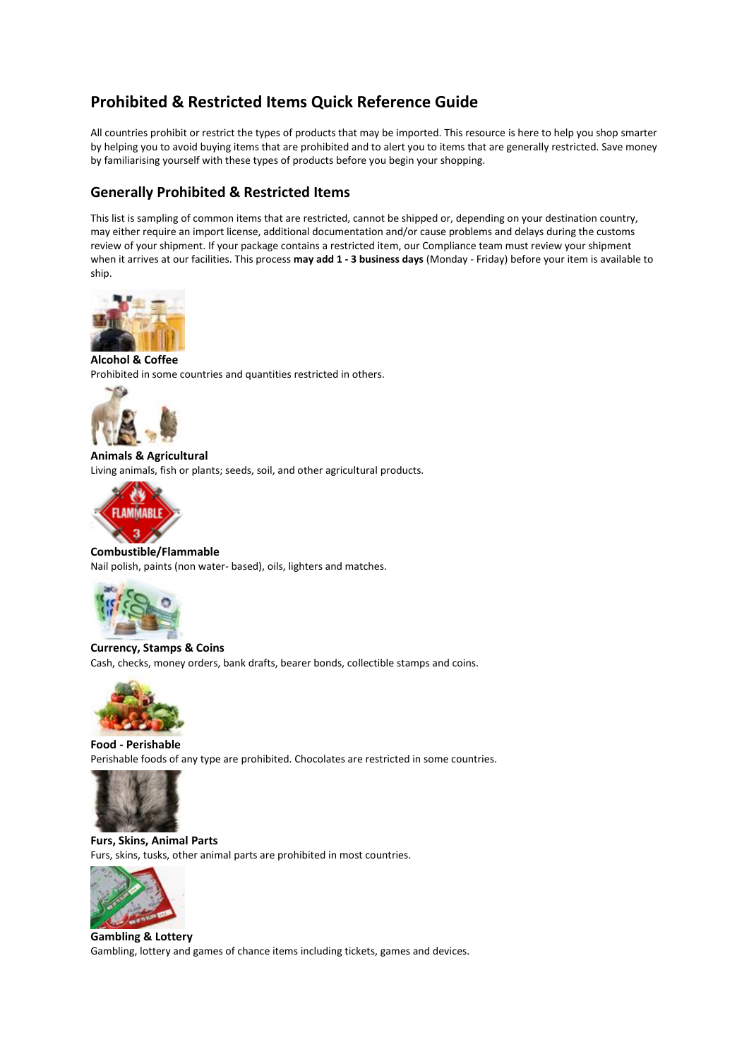# **Prohibited & Restricted Items Quick Reference Guide**

All countries prohibit or restrict the types of products that may be imported. This resource is here to help you shop smarter by helping you to avoid buying items that are prohibited and to alert you to items that are generally restricted. Save money by familiarising yourself with these types of products before you begin your shopping.

## **Generally Prohibited & Restricted Items**

This list is sampling of common items that are restricted, cannot be shipped or, depending on your destination country, may either require an import license, additional documentation and/or cause problems and delays during the customs review of your shipment. If your package contains a restricted item, our Compliance team must review your shipment when it arrives at our facilities. This process **may add 1 - 3 business days** (Monday - Friday) before your item is available to ship.



**Alcohol & Coffee** Prohibited in some countries and quantities restricted in others.



**Animals & Agricultural** Living animals, fish or plants; seeds, soil, and other agricultural products.



**Combustible/Flammable** Nail polish, paints (non water- based), oils, lighters and matches.



**Currency, Stamps & Coins** Cash, checks, money orders, bank drafts, bearer bonds, collectible stamps and coins.



**Food - Perishable** Perishable foods of any type are prohibited. Chocolates are restricted in some countries.



**Furs, Skins, Animal Parts** Furs, skins, tusks, other animal parts are prohibited in most countries.



**Gambling & Lottery** Gambling, lottery and games of chance items including tickets, games and devices.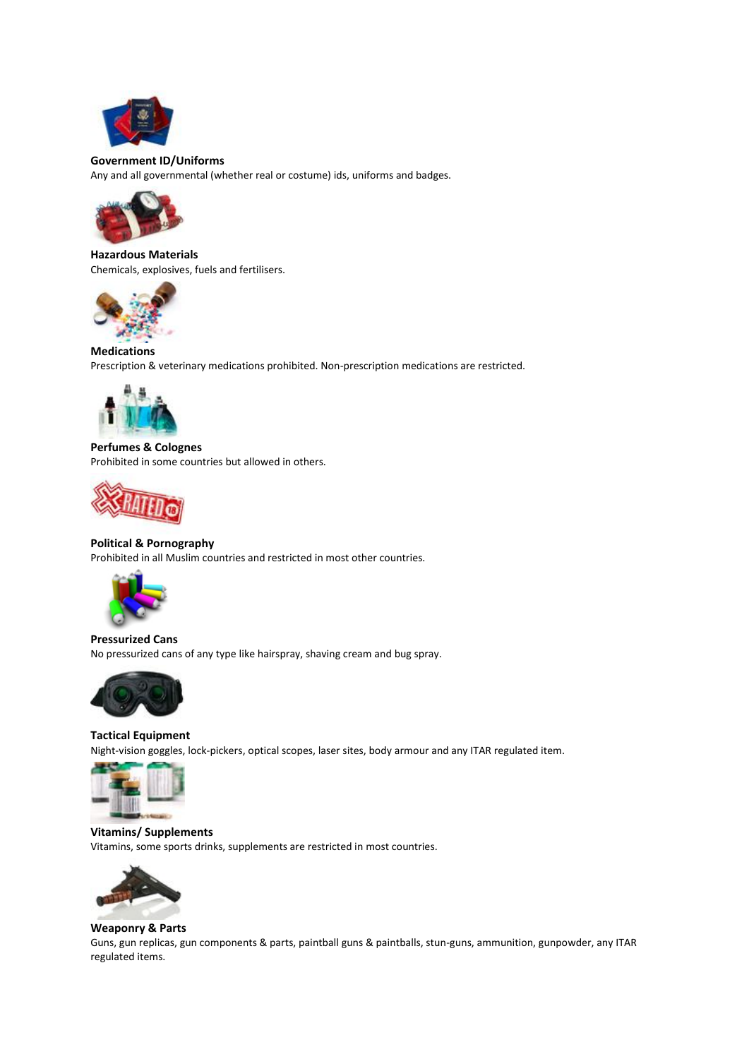

#### **Government ID/Uniforms**

Any and all governmental (whether real or costume) ids, uniforms and badges.



**Hazardous Materials** Chemicals, explosives, fuels and fertilisers.



### **Medications**

Prescription & veterinary medications prohibited. Non-prescription medications are restricted.



**Perfumes & Colognes** Prohibited in some countries but allowed in others.



#### **Political & Pornography**

Prohibited in all Muslim countries and restricted in most other countries.



**Pressurized Cans** No pressurized cans of any type like hairspray, shaving cream and bug spray.



**Tactical Equipment** Night-vision goggles, lock-pickers, optical scopes, laser sites, body armour and any ITAR regulated item.



**Vitamins/ Supplements** Vitamins, some sports drinks, supplements are restricted in most countries.



#### **Weaponry & Parts**

Guns, gun replicas, gun components & parts, paintball guns & paintballs, stun-guns, ammunition, gunpowder, any ITAR regulated items.